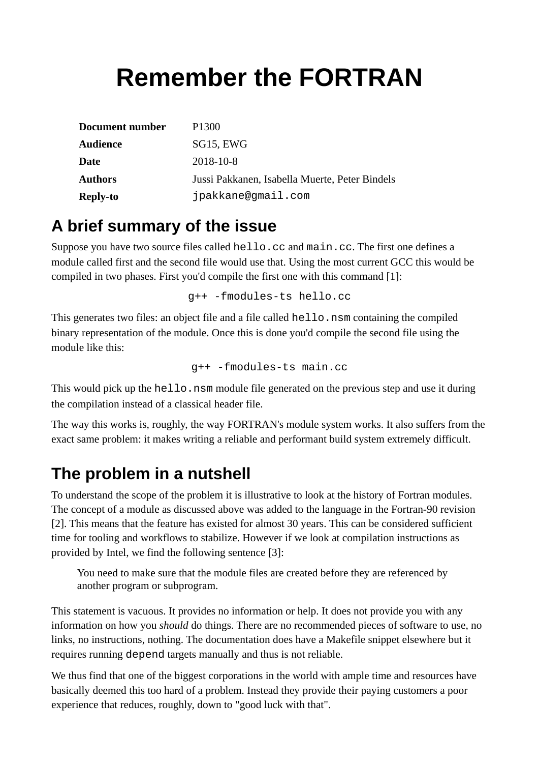# **Remember the FORTRAN**

| Document number | P <sub>1300</sub>                              |
|-----------------|------------------------------------------------|
| <b>Audience</b> | SG15, EWG                                      |
| Date            | 2018-10-8                                      |
| <b>Authors</b>  | Jussi Pakkanen, Isabella Muerte, Peter Bindels |
| <b>Reply-to</b> | jpakkane@gmail.com                             |

#### **A brief summary of the issue**

Suppose you have two source files called hello.cc and main.cc. The first one defines a module called first and the second file would use that. Using the most current GCC this would be compiled in two phases. First you'd compile the first one with this command [1]:

g++ -fmodules-ts hello.cc

This generates two files: an object file and a file called hello.nsm containing the compiled binary representation of the module. Once this is done you'd compile the second file using the module like this:

g++ -fmodules-ts main.cc

This would pick up the hello.nsm module file generated on the previous step and use it during the compilation instead of a classical header file.

The way this works is, roughly, the way FORTRAN's module system works. It also suffers from the exact same problem: it makes writing a reliable and performant build system extremely difficult.

## **The problem in a nutshell**

To understand the scope of the problem it is illustrative to look at the history of Fortran modules. The concept of a module as discussed above was added to the language in the Fortran-90 revision [2]. This means that the feature has existed for almost 30 years. This can be considered sufficient time for tooling and workflows to stabilize. However if we look at compilation instructions as provided by Intel, we find the following sentence [3]:

You need to make sure that the module files are created before they are referenced by another program or subprogram.

This statement is vacuous. It provides no information or help. It does not provide you with any information on how you *should* do things. There are no recommended pieces of software to use, no links, no instructions, nothing. The documentation does have a Makefile snippet elsewhere but it requires running depend targets manually and thus is not reliable.

We thus find that one of the biggest corporations in the world with ample time and resources have basically deemed this too hard of a problem. Instead they provide their paying customers a poor experience that reduces, roughly, down to "good luck with that".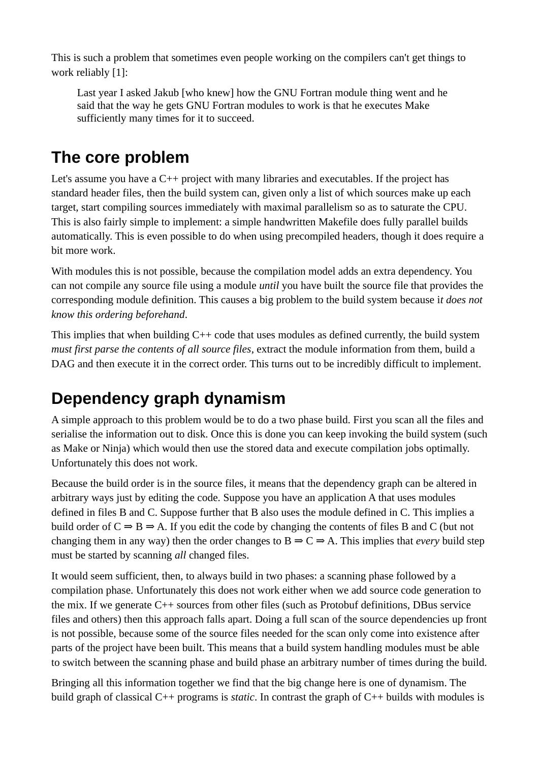This is such a problem that sometimes even people working on the compilers can't get things to work reliably [1]:

Last year I asked Jakub [who knew] how the GNU Fortran module thing went and he said that the way he gets GNU Fortran modules to work is that he executes Make sufficiently many times for it to succeed.

# **The core problem**

Let's assume you have a  $C_{++}$  project with many libraries and executables. If the project has standard header files, then the build system can, given only a list of which sources make up each target, start compiling sources immediately with maximal parallelism so as to saturate the CPU. This is also fairly simple to implement: a simple handwritten Makefile does fully parallel builds automatically. This is even possible to do when using precompiled headers, though it does require a bit more work.

With modules this is not possible, because the compilation model adds an extra dependency. You can not compile any source file using a module *until* you have built the source file that provides the corresponding module definition. This causes a big problem to the build system because i*t does not know this ordering beforehand*.

This implies that when building C<sup>++</sup> code that uses modules as defined currently, the build system *must first parse the contents of all source files*, extract the module information from them, build a DAG and then execute it in the correct order. This turns out to be incredibly difficult to implement.

# **Dependency graph dynamism**

A simple approach to this problem would be to do a two phase build. First you scan all the files and serialise the information out to disk. Once this is done you can keep invoking the build system (such as Make or Ninja) which would then use the stored data and execute compilation jobs optimally. Unfortunately this does not work.

Because the build order is in the source files, it means that the dependency graph can be altered in arbitrary ways just by editing the code. Suppose you have an application A that uses modules defined in files B and C. Suppose further that B also uses the module defined in C. This implies a build order of  $C \Rightarrow B \Rightarrow A$ . If you edit the code by changing the contents of files B and C (but not changing them in any way) then the order changes to  $B \Rightarrow C \Rightarrow A$ . This implies that *every* build step must be started by scanning *all* changed files.

It would seem sufficient, then, to always build in two phases: a scanning phase followed by a compilation phase. Unfortunately this does not work either when we add source code generation to the mix. If we generate C++ sources from other files (such as Protobuf definitions, DBus service files and others) then this approach falls apart. Doing a full scan of the source dependencies up front is not possible, because some of the source files needed for the scan only come into existence after parts of the project have been built. This means that a build system handling modules must be able to switch between the scanning phase and build phase an arbitrary number of times during the build.

Bringing all this information together we find that the big change here is one of dynamism. The build graph of classical C++ programs is *static*. In contrast the graph of C++ builds with modules is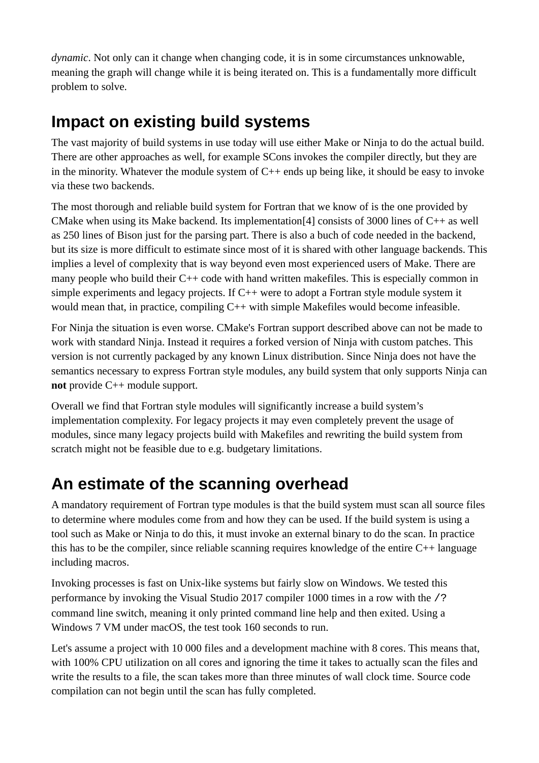*dynamic*. Not only can it change when changing code, it is in some circumstances unknowable, meaning the graph will change while it is being iterated on. This is a fundamentally more difficult problem to solve.

## **Impact on existing build systems**

The vast majority of build systems in use today will use either Make or Ninja to do the actual build. There are other approaches as well, for example SCons invokes the compiler directly, but they are in the minority. Whatever the module system of C++ ends up being like, it should be easy to invoke via these two backends.

The most thorough and reliable build system for Fortran that we know of is the one provided by CMake when using its Make backend. Its implementation[4] consists of 3000 lines of C++ as well as 250 lines of Bison just for the parsing part. There is also a buch of code needed in the backend, but its size is more difficult to estimate since most of it is shared with other language backends. This implies a level of complexity that is way beyond even most experienced users of Make. There are many people who build their C++ code with hand written makefiles. This is especially common in simple experiments and legacy projects. If  $C^{++}$  were to adopt a Fortran style module system it would mean that, in practice, compiling C++ with simple Makefiles would become infeasible.

For Ninja the situation is even worse. CMake's Fortran support described above can not be made to work with standard Ninja. Instead it requires a forked version of Ninja with custom patches. This version is not currently packaged by any known Linux distribution. Since Ninja does not have the semantics necessary to express Fortran style modules, any build system that only supports Ninja can **not** provide C++ module support.

Overall we find that Fortran style modules will significantly increase a build system's implementation complexity. For legacy projects it may even completely prevent the usage of modules, since many legacy projects build with Makefiles and rewriting the build system from scratch might not be feasible due to e.g. budgetary limitations.

## **An estimate of the scanning overhead**

A mandatory requirement of Fortran type modules is that the build system must scan all source files to determine where modules come from and how they can be used. If the build system is using a tool such as Make or Ninja to do this, it must invoke an external binary to do the scan. In practice this has to be the compiler, since reliable scanning requires knowledge of the entire C++ language including macros.

Invoking processes is fast on Unix-like systems but fairly slow on Windows. We tested this performance by invoking the Visual Studio 2017 compiler 1000 times in a row with the /? command line switch, meaning it only printed command line help and then exited. Using a Windows 7 VM under macOS, the test took 160 seconds to run.

Let's assume a project with 10 000 files and a development machine with 8 cores. This means that, with 100% CPU utilization on all cores and ignoring the time it takes to actually scan the files and write the results to a file, the scan takes more than three minutes of wall clock time. Source code compilation can not begin until the scan has fully completed.